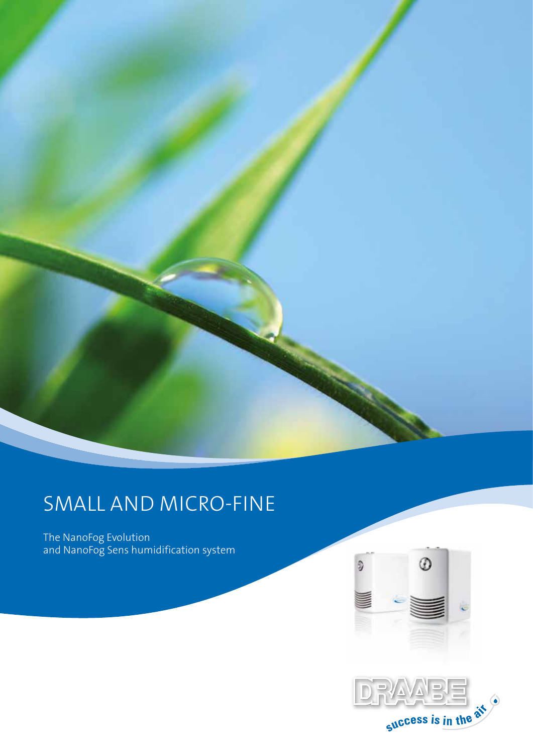

# SMALL AND MICRO-FINE

The NanoFog Evolution and NanoFog Sens humidification system



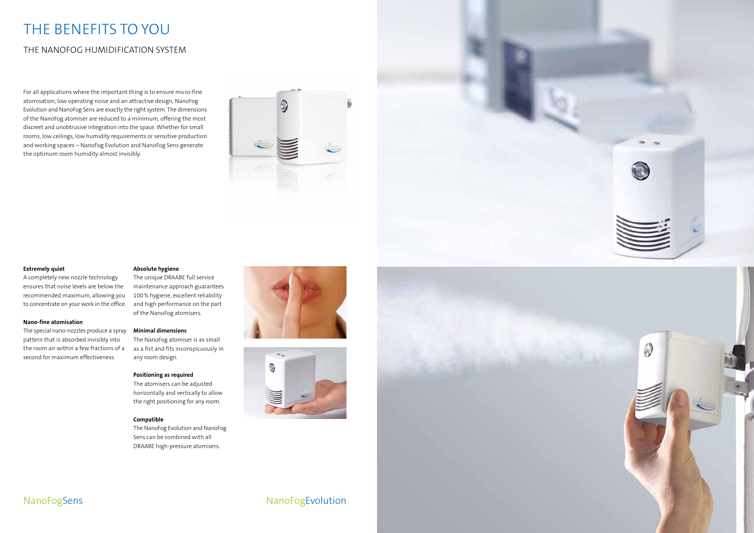# THE BENEFITS TO YOU

## THE NANOFOG HUMIDIFICATION SYSTEM

### **Extremely quiet**

A completely new nozzle technology ensures that noise levels are below the recommended maximum, allowing you to concentrate on your work in the office.

#### **Nano-fine atomisation**

The special nano-nozzles produce a spray pattern that is absorbed invisibly into the room air within a few fractions of a second for maximum effectiveness.

#### **Absolute hygiene**

The unique DRAABE full service maintenance approach guarantees 100% hygiene, excellent reliability and high performance on the part of the NanoFog atomisers.

#### **Minimal dimensions**

The NanoFog atomiser is as small as a fist and fits inconspicuously in any room design.

#### **Positioning as required**

The atomisers can be adjusted horizontally and vertically to allow the right positioning for any room.

#### **Compatible**

The NanoFog Evolution and NanoFog Sens can be combined with all DRAABE high-pressure atomisers.







NanoFogSens NanoFogEvolution

For all applications where the important thing is to ensure micro-fine atomisation, low operating noise and an attractive design, NanoFog Evolution and NanoFog Sens are exactly the right system. The dimensions of the NanoFog atomiser are reduced to a minimum, offering the most discreet and unobtrusive integration into the space. Whether for small rooms, low ceilings, low humidity requirements or sensitive production and working spaces – NanoFog Evolution and NanoFog Sens generate the optimum room humidity almost invisibly.

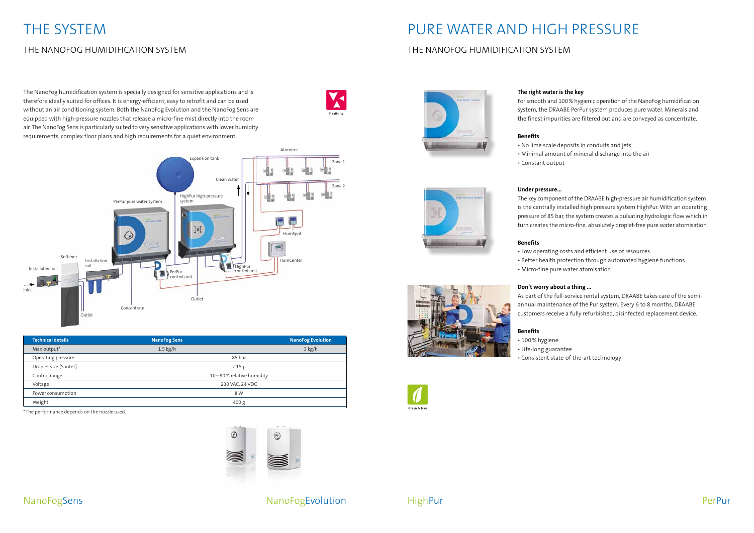

| <b>Technical details</b> | <b>NanoFog Sens</b>      | <b>NanoFog Evolution</b> |
|--------------------------|--------------------------|--------------------------|
| Max output*              | $1.5$ kg/h               | $3$ kg/h                 |
| Operating pressure       | 85 bar                   |                          |
| Droplet size (Sauter)    | $<$ 15 $\mu$             |                          |
| Control range            | 10-90% relative humidity |                          |
| Voltage                  | 230 VAC, 24 VDC          |                          |
| Power consumption        | 8 W                      |                          |
| Weight                   | 400 g                    |                          |

\*The performance depends on the nozzle used.

The NanoFog humidification system is specially designed for sensitive applications and is therefore ideally suited for offices. It is energy-efficient, easy to retrofit and can be used without an air conditioning system. Both the NanoFog Evolution and the NanoFog Sens are equipped with high-pressure nozzles that release a micro-fine mist directly into the room air. The NanoFog Sens is particularly suited to very sensitive applications with lower humidity requirements, complex floor plans and high requirements for a quiet environment.

# THE SYSTEM

## THE NANOFOG HUMIDIFICATION SYSTEM

## NanoFogEvolution



# PURE WATER AND HIGH PRESSURE

## THE NANOFOG HUMIDIFICATION SYSTEM



**HighPur** 

**The right water is the key**

For smooth and 100% hygienic operation of the NanoFog humidification system, the DRAABE PerPur system produces pure water. Minerals and the finest impurities are filtered out and are conveyed as concentrate.

#### **Benefits**

• No lime scale deposits in conduits and jets • Minimal amount of mineral discharge into the air

- 
- 
- Constant output

#### **Under pressure...**

The key component of the DRAABE high-pressure air humidification system is the centrally installed high pressure system HighPur. With an operating pressure of 85 bar, the system creates a pulsating hydrologic flow which in turn creates the micro-fine, absolutely droplet-free pure water atomisation.

#### **Benefits**

• Low operating costs and efficient use of resources • Better health protection through automated hygiene functions

- 
- 
- Micro-fine pure water atomisation

### **Don't worry about a thing ...**

As part of the full-service rental system, DRAABE takes care of the semiannual maintenance of the Pur system. Every 6 to 8 months, DRAABE customers receive a fully refurbished, disinfected replacement device.

### **Benefits**

- 100% hygiene
- Life-long guarantee
- 





• Consistent state-of-the-art technology

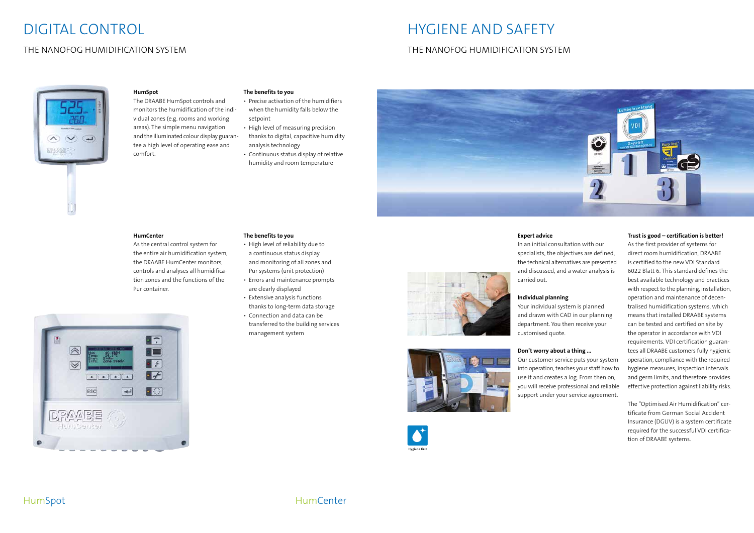# DIGITAL CONTROL

### THE NANOFOG HUMIDIFICATION SYSTEM

# HYGIENE AND SAFETY

### THE NANOFOG HUMIDIFICATION SYSTEM



### **HumSpot**

The DRAABE HumSpot controls and monitors the humidification of the individual zones (e.g. rooms and working areas). The simple menu navigation and the illuminated colour display guarantee a high level of operating ease and comfort.

**Expert advice**

In an initial consultation with our specialists, the objectives are defined, the technical alternatives are presented and discussed, and a water analysis is

carried out.

**Individual planning**

Your individual system is planned and drawn with CAD in our planning department. You then receive your customised quote. **Don't worry about a thing ...**

Our customer service puts your system into operation, teaches your staff how to use it and creates a log. From then on, you will receive professional and reliable support under your service agreement.

HumSpot **HumCenter** 

#### **Trust is good – certification is better!**

As the first provider of systems for direct room humidification, DRAABE is certified to the new VDI Standard 6022 Blatt 6. This standard defines the best available technology and practices with respect to the planning, installation, operation and maintenance of decentralised humidification systems, which means that installed DRAABE systems can be tested and certified on site by the operator in accordance with VDI requirements. VDI certification guarantees all DRAABE customers fully hygienic operation, compliance with the required hygiene measures, inspection intervals and germ limits, and therefore provides effective protection against liability risks.

The "Optimised Air Humidification" certificate from German Social Accident Insurance (DGUV) is a system certificate required for the successful VDI certification of DRAABE systems.

### **The benefits to you**

- Precise activation of the humidifiers when the humidity falls below the setpoint
- High level of measuring precision
- thanks to digital, capacitive humidity analysis technology
- Continuous status display of relative humidity and room temperature



#### **HumCenter**

As the central control system for the entire air humidification system, the DRAABE HumCenter monitors, controls and analyses all humidification zones and the functions of the Pur container.



#### **The benefits to you**

- High level of reliability due to a continuous status display and monitoring of all zones and Pur systems (unit protection)
- Errors and maintenance prompts are clearly displayed
- Extensive analysis functions thanks to long-term data storage
- Connection and data can be transferred to the building services management system